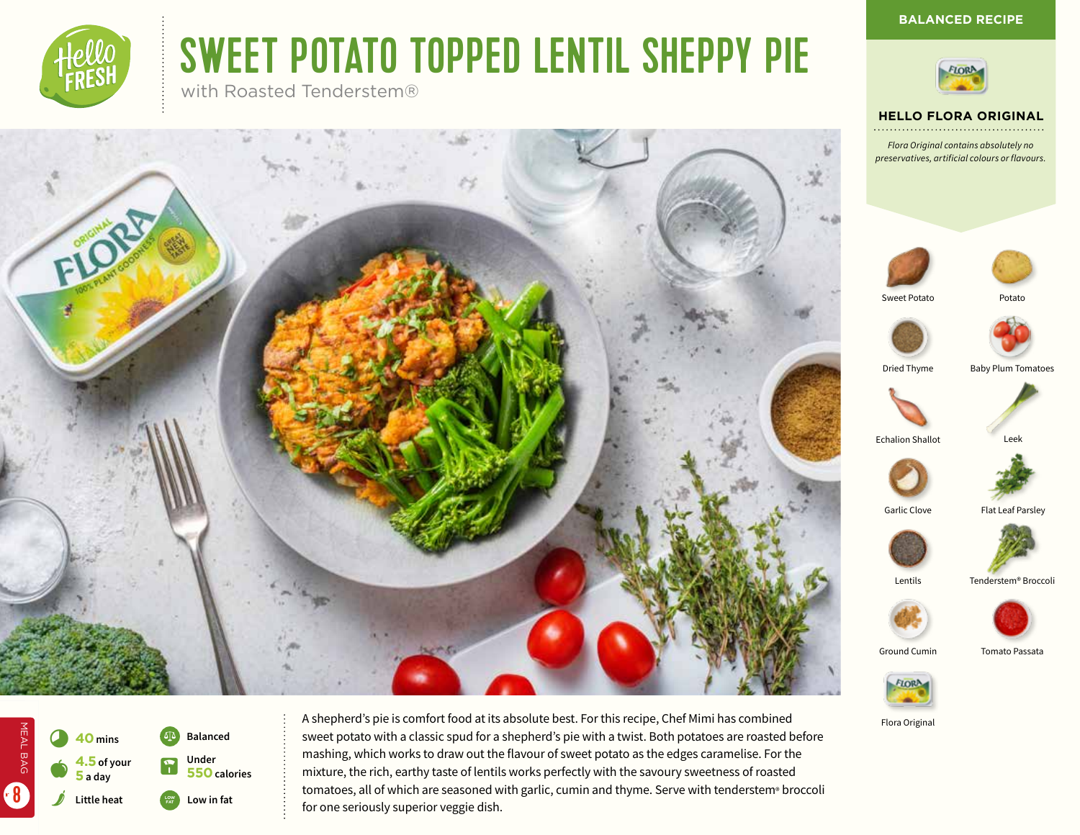# SWEET POTATO TOPPED LENTIL SHEPPY PIE

with Roasted Tenderstem®





# **HELLO FLORA ORIGINAL**

**BALANCED RECIPE**

*Flora Original contains absolutely no preservatives, artificial colours or flavours.*





Sweet Potato **Potato** 



Dried Thyme Baby Plum Tomatoes



**Echalion Shallot** 









Ground Cumin Tomato Passata



Flora Original



MEAL BAG

MEAL BAG

8

**Low in fat Balanced** L **Under 550 calories** A shepherd's pie is comfort food at its absolute best. For this recipe, Chef Mimi has combined sweet potato with a classic spud for a shepherd's pie with a twist. Both potatoes are roasted before mashing, which works to draw out the flavour of sweet potato as the edges caramelise. For the mixture, the rich, earthy taste of lentils works perfectly with the savoury sweetness of roasted tomatoes, all of which are seasoned with garlic, cumin and thyme. Serve with tenderstem® broccoli for one seriously superior veggie dish.